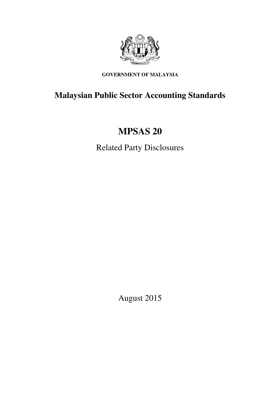

# **GOVERNMENT OF MALAYSIA**

# **Malaysian Public Sector Accounting Standards**

# **MPSAS 20**

Related Party Disclosures

August 2015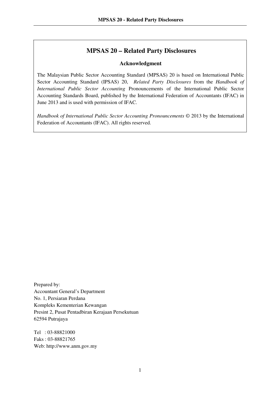# **MPSAS 20 – Related Party Disclosures**

#### **Acknowledgment**

The Malaysian Public Sector Accounting Standard (MPSAS) 20 is based on International Public Sector Accounting Standard (IPSAS) 20, *Related Party Disclosures* from the *Handbook of International Public Sector Accounting* Pronouncements of the International Public Sector Accounting Standards Board, published by the International Federation of Accountants (IFAC) in June 2013 and is used with permission of IFAC.

*Handbook of International Public Sector Accounting Pronouncements* © 2013 by the International Federation of Accountants (IFAC). All rights reserved.

Prepared by: Accountant General's Department No. 1, Persiaran Perdana Kompleks Kementerian Kewangan Presint 2, Pusat Pentadbiran Kerajaan Persekutuan 62594 Putrajaya

Tel : 03-88821000 Faks : 03-88821765 Web: http://www.anm.gov.my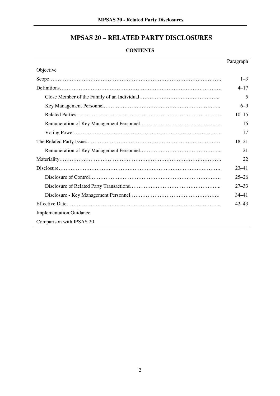# **MPSAS 20 – RELATED PARTY DISCLOSURES**

# **CONTENTS**

|                                | Paragraph |
|--------------------------------|-----------|
| Objective                      |           |
|                                | $1 - 3$   |
|                                | $4 - 17$  |
|                                | 5         |
|                                | $6 - 9$   |
|                                | $10 - 15$ |
|                                | 16        |
|                                | 17        |
|                                | $18 - 21$ |
|                                | 21        |
|                                | 22        |
|                                | $23 - 41$ |
|                                | $25 - 26$ |
|                                | $27 - 33$ |
|                                | $34 - 41$ |
|                                | $42 - 43$ |
| <b>Implementation Guidance</b> |           |
| Comparison with IPSAS 20       |           |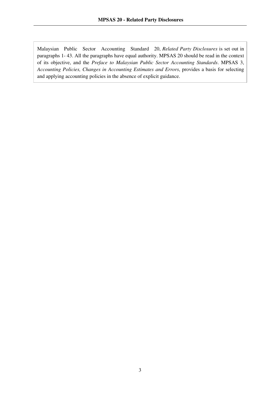Malaysian Public Sector Accounting Standard 20, *Related Party Disclosures* is set out in paragraphs 1- 43. All the paragraphs have equal authority. MPSAS 20 should be read in the context of its objective, and the *Preface to Malaysian Public Sector Accounting Standards*. MPSAS 3, *Accounting Policies, Changes in Accounting Estimates and Errors*, provides a basis for selecting and applying accounting policies in the absence of explicit guidance.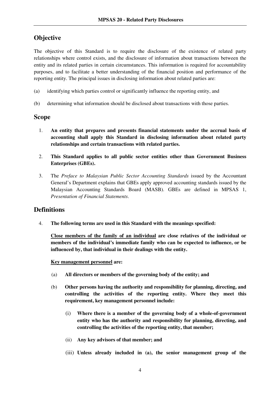# **Objective**

The objective of this Standard is to require the disclosure of the existence of related party relationships where control exists, and the disclosure of information about transactions between the entity and its related parties in certain circumstances. This information is required for accountability purposes, and to facilitate a better understanding of the financial position and performance of the reporting entity. The principal issues in disclosing information about related parties are:

- (a) identifying which parties control or significantly influence the reporting entity, and
- (b) determining what information should be disclosed about transactions with those parties.

### **Scope**

- 1. **An entity that prepares and presents financial statements under the accrual basis of accounting shall apply this Standard in disclosing information about related party relationships and certain transactions with related parties.**
- 2. **This Standard applies to all public sector entities other than Government Business Enterprises (GBEs).**
- 3. The *Preface to Malaysian Public Sector Accounting Standards* issued by the Accountant General's Department explains that GBEs apply approved accounting standards issued by the Malaysian Accounting Standards Board (MASB). GBEs are defined in MPSAS 1, *Presentation of Financial Statements*.

# **Definitions**

4. **The following terms are used in this Standard with the meanings specified:** 

**Close members of the family of an individual are close relatives of the individual or members of the individual's immediate family who can be expected to influence, or be influenced by, that individual in their dealings with the entity.** 

#### **Key management personnel are:**

- (a) **All directors or members of the governing body of the entity; and**
- (b) **Other persons having the authority and responsibility for planning, directing, and controlling the activities of the reporting entity. Where they meet this requirement, key management personnel include:** 
	- (i) **Where there is a member of the governing body of a whole-of-government entity who has the authority and responsibility for planning, directing, and controlling the activities of the reporting entity, that member;**
	- (ii) **Any key advisors of that member; and**
	- (iii) **Unless already included in (a), the senior management group of the**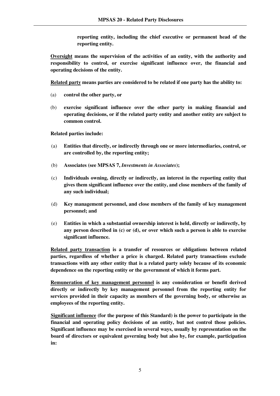**reporting entity, including the chief executive or permanent head of the reporting entity.** 

**Oversight means the supervision of the activities of an entity, with the authority and responsibility to control, or exercise significant influence over, the financial and operating decisions of the entity.**

**Related party means parties are considered to be related if one party has the ability to:** 

- (a) **control the other party, or**
- (b) **exercise significant influence over the other party in making financial and operating decisions, or if the related party entity and another entity are subject to common control.**

**Related parties include:**

- (a) **Entities that directly, or indirectly through one or more intermediaries, control, or are controlled by, the reporting entity;**
- (b) **Associates (see MPSAS 7,** *Investments in Associates***);**
- (c) **Individuals owning, directly or indirectly, an interest in the reporting entity that gives them significant influence over the entity, and close members of the family of any such individual;**
- (d) **Key management personnel, and close members of the family of key management personnel; and**
- (e) **Entities in which a substantial ownership interest is held, directly or indirectly, by any person described in (c) or (d), or over which such a person is able to exercise significant influence.**

**Related party transaction is a transfer of resources or obligations between related parties, regardless of whether a price is charged. Related party transactions exclude transactions with any other entity that is a related party solely because of its economic dependence on the reporting entity or the government of which it forms part.**

**Remuneration of key management personnel is any consideration or benefit derived directly or indirectly by key management personnel from the reporting entity for services provided in their capacity as members of the governing body, or otherwise as employees of the reporting entity.**

**Significant influence (for the purpose of this Standard) is the power to participate in the financial and operating policy decisions of an entity, but not control those policies. Significant influence may be exercised in several ways, usually by representation on the board of directors or equivalent governing body but also by, for example, participation in:**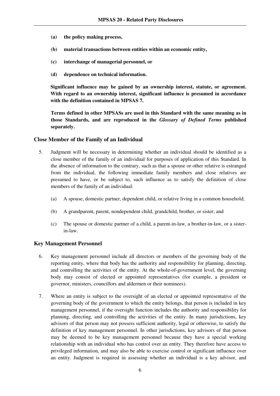- **(a) the policy making process,**
- **(b) material transactions between entities within an economic entity,**
- **(c) interchange of managerial personnel, or**
- **(d) dependence on technical information.**

**Significant influence may be gained by an ownership interest, statute, or agreement. With regard to an ownership interest, significant influence is presumed in accordance with the definition contained in MPSAS 7.**

**Terms defined in other MPSASs are used in this Standard with the same meaning as in those Standards, and are reproduced in the** *Glossary of Defined Terms* **published separately.**

#### **Close Member of the Family of an Individual**

- 5. Judgment will be necessary in determining whether an individual should be identified as a close member of the family of an individual for purposes of application of this Standard. In the absence of information to the contrary, such as that a spouse or other relative is estranged from the individual, the following immediate family members and close relatives are presumed to have, or be subject to, such influence as to satisfy the definition of close members of the family of an individual:
	- (a) A spouse, domestic partner, dependent child, or relative living in a common household;
	- (b) A grandparent, parent, nondependent child, grandchild, brother, or sister; and
	- (c) The spouse or domestic partner of a child, a parent-in-law, a brother-in-law, or a sisterin-law.

#### **Key Management Personnel**

- 6. Key management personnel include all directors or members of the governing body of the reporting entity, where that body has the authority and responsibility for planning, directing, and controlling the activities of the entity. At the whole-of-government level, the governing body may consist of elected or appointed representatives (for example, a president or governor, ministers, councillors and aldermen or their nominees).
- 7. Where an entity is subject to the oversight of an elected or appointed representative of the governing body of the government to which the entity belongs, that person is included in key management personnel, if the oversight function includes the authority and responsibility for planning, directing, and controlling the activities of the entity. In many jurisdictions, key advisors of that person may not possess sufficient authority, legal or otherwise, to satisfy the definition of key management personnel. In other jurisdictions, key advisors of that person may be deemed to be key management personnel because they have a special working relationship with an individual who has control over an entity. They therefore have access to privileged information, and may also be able to exercise control or significant influence over an entity. Judgment is required in assessing whether an individual is a key advisor, and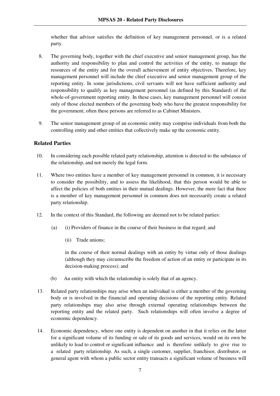whether that advisor satisfies the definition of key management personnel, or is a related party.

- 8. The governing body, together with the chief executive and senior management group, has the authority and responsibility to plan and control the activities of the entity, to manage the resources of the entity and for the overall achievement of entity objectives. Therefore, key management personnel will include the chief executive and senior management group of the reporting entity. In some jurisdictions, civil servants will not have sufficient authority and responsibility to qualify as key management personnel (as defined by this Standard) of the whole-of-government reporting entity. In these cases, key management personnel will consist only of those elected members of the governing body who have the greatest responsibility for the government; often these persons are referred to as Cabinet Ministers.
- 9. The senior management group of an economic entity may comprise individuals from both the controlling entity and other entities that collectively make up the economic entity.

#### **Related Parties**

- 10. In considering each possible related party relationship, attention is directed to the substance of the relationship, and not merely the legal form.
- 11. Where two entities have a member of key management personnel in common, it is necessary to consider the possibility, and to assess the likelihood, that this person would be able to affect the policies of both entities in their mutual dealings. However, the mere fact that there is a member of key management personnel in common does not necessarily create a related party relationship.
- 12. In the context of this Standard, the following are deemed not to be related parties:
	- (a) (i) Providers of finance in the course of their business in that regard; and
		- (ii) Trade unions;

in the course of their normal dealings with an entity by virtue only of those dealings (although they may circumscribe the freedom of action of an entity or participate in its decision-making process); and

- (b) An entity with which the relationship is solely that of an agency.
- 13. Related party relationships may arise when an individual is either a member of the governing body or is involved in the financial and operating decisions of the reporting entity. Related party relationships may also arise through external operating relationships between the reporting entity and the related party. Such relationships will often involve a degree of economic dependency.
- 14. Economic dependency, where one entity is dependent on another in that it relies on the latter for a significant volume of its funding or sale of its goods and services, would on its own be unlikely to lead to control or significant influence and is therefore unlikely to give rise to a related party relationship. As such, a single customer, supplier, franchisor, distributor, or general agent with whom a public sector entity transacts a significant volume of business will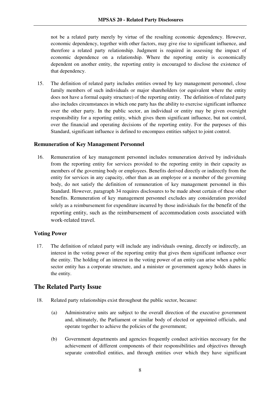not be a related party merely by virtue of the resulting economic dependency. However, economic dependency, together with other factors, may give rise to significant influence, and therefore a related party relationship. Judgment is required in assessing the impact of economic dependence on a relationship. Where the reporting entity is economically dependent on another entity, the reporting entity is encouraged to disclose the existence of that dependency.

15. The definition of related party includes entities owned by key management personnel, close family members of such individuals or major shareholders (or equivalent where the entity does not have a formal equity structure) of the reporting entity. The definition of related party also includes circumstances in which one party has the ability to exercise significant influence over the other party. In the public sector, an individual or entity may be given oversight responsibility for a reporting entity, which gives them significant influence, but not control, over the financial and operating decisions of the reporting entity. For the purposes of this Standard, significant influence is defined to encompass entities subject to joint control.

#### **Remuneration of Key Management Personnel**

16. Remuneration of key management personnel includes remuneration derived by individuals from the reporting entity for services provided to the reporting entity in their capacity as members of the governing body or employees. Benefits derived directly or indirectly from the entity for services in any capacity, other than as an employee or a member of the governing body, do not satisfy the definition of remuneration of key management personnel in this Standard. However, paragraph 34 requires disclosures to be made about certain of these other benefits. Remuneration of key management personnel excludes any consideration provided solely as a reimbursement for expenditure incurred by those individuals for the benefit of the reporting entity, such as the reimbursement of accommodation costs associated with work-related travel.

#### **Voting Power**

17. The definition of related party will include any individuals owning, directly or indirectly, an interest in the voting power of the reporting entity that gives them significant influence over the entity. The holding of an interest in the voting power of an entity can arise when a public sector entity has a corporate structure, and a minister or government agency holds shares in the entity.

# **The Related Party Issue**

- 18. Related party relationships exist throughout the public sector, because:
	- (a) Administrative units are subject to the overall direction of the executive government and, ultimately, the Parliament or similar body of elected or appointed officials, and operate together to achieve the policies of the government;
	- (b) Government departments and agencies frequently conduct activities necessary for the achievement of different components of their responsibilities and objectives through separate controlled entities, and through entities over which they have significant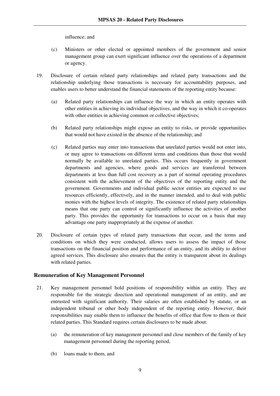influence; and

- (c) Ministers or other elected or appointed members of the government and senior management group can exert significant influence over the operations of a department or agency.
- 19. Disclosure of certain related party relationships and related party transactions and the relationship underlying those transactions is necessary for accountability purposes, and enables users to better understand the financial statements of the reporting entity because:
	- (a) Related party relationships can influence the way in which an entity operates with other entities in achieving its individual objectives, and the way in which it co-operates with other entities in achieving common or collective objectives;
	- (b) Related party relationships might expose an entity to risks, or provide opportunities that would not have existed in the absence of the relationship; and
	- (c) Related parties may enter into transactions that unrelated parties would not enter into, or may agree to transactions on different terms and conditions than those that would normally be available to unrelated parties. This occurs frequently in government departments and agencies, where goods and services are transferred between departments at less than full cost recovery as a part of normal operating procedures consistent with the achievement of the objectives of the reporting entity and the government. Governments and individual public sector entities are expected to use resources efficiently, effectively, and in the manner intended, and to deal with public monies with the highest levels of integrity. The existence of related party relationships means that one party can control or significantly influence the activities of another party. This provides the opportunity for transactions to occur on a basis that may advantage one party inappropriately at the expense of another.
- 20. Disclosure of certain types of related party transactions that occur, and the terms and conditions on which they were conducted, allows users to assess the impact of those transactions on the financial position and performance of an entity, and its ability to deliver agreed services. This disclosure also ensures that the entity is transparent about its dealings with related parties.

#### **Remuneration of Key Management Personnel**

- 21. Key management personnel hold positions of responsibility within an entity. They are responsible for the strategic direction and operational management of an entity, and are entrusted with significant authority. Their salaries are often established by statute, or an independent tribunal or other body independent of the reporting entity. However, their responsibilities may enable them to influence the benefits of office that flow to them or their related parties. This Standard requires certain disclosures to be made about:
	- (a) the remuneration of key management personnel and close members of the family of key management personnel during the reporting period,
	- (b) loans made to them, and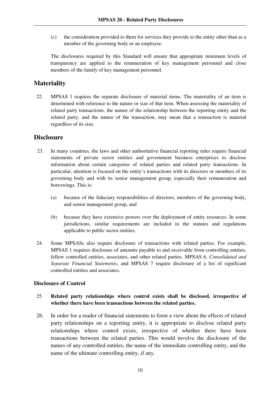(c) the consideration provided to them for services they provide to the entity other than as a member of the governing body or an employee.

The disclosures required by this Standard will ensure that appropriate minimum levels of transparency are applied to the remuneration of key management personnel and close members of the family of key management personnel.

# **Materiality**

22. MPSAS 1 requires the separate disclosure of material items. The materiality of an item is determined with reference to the nature or size of that item. When assessing the materiality of related party transactions, the nature of the relationship between the reporting entity and the related party, and the nature of the transaction, may mean that a transaction is material regardless of its size.

# **Disclosure**

- 23. In many countries, the laws and other authoritative financial reporting rules require financial statements of private sector entities and government business enterprises to disclose information about certain categories of related parties and related party transactions. In particular, attention is focused on the entity's transactions with its directors or members of its governing body and with its senior management group, especially their remuneration and borrowings. This is:
	- (a) because of the fiduciary responsibilities of directors, members of the governing body, and senior management group, and
	- (b) because they have extensive powers over the deployment of entity resources. In some jurisdictions, similar requirements are included in the statutes and regulations applicable to public sector entities.
- 24. Some MPSASs also require disclosure of transactions with related parties. For example, MPSAS 1 requires disclosure of amounts payable to and receivable from controlling entities, fellow controlled entities, associates, and other related parties. MPSAS 6, *Consolidated and Separate Financial Statements*, and MPSAS 7 require disclosure of a list of significant controlled entities and associates.

#### **Disclosure of Control**

#### 25. **Related party relationships where control exists shall be disclosed, irrespective of whether there have been transactions between the related parties.**

26. In order for a reader of financial statements to form a view about the effects of related party relationships on a reporting entity, it is appropriate to disclose related party relationships where control exists, irrespective of whether there have been transactions between the related parties. This would involve the disclosure of the names of any controlled entities, the name of the immediate controlling entity, and the name of the ultimate controlling entity, if any.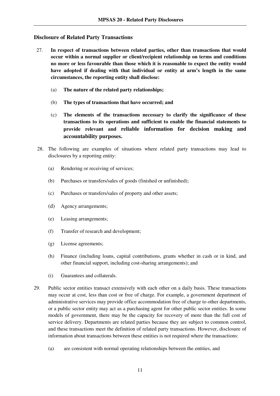#### **Disclosure of Related Party Transactions**

- 27. **In respect of transactions between related parties, other than transactions that would occur within a normal supplier or client/recipient relationship on terms and conditions no more or less favourable than those which it is reasonable to expect the entity would have adopted if dealing with that individual or entity at arm's length in the same circumstances, the reporting entity shall disclose:**
	- (a) **The nature of the related party relationships;**
	- (b) **The types of transactions that have occurred; and**
	- (c) **The elements of the transactions necessary to clarify the significance of these transactions to its operations and sufficient to enable the financial statements to provide relevant and reliable information for decision making and accountability purposes.**
- 28. The following are examples of situations where related party transactions may lead to disclosures by a reporting entity:
	- (a) Rendering or receiving of services;
	- (b) Purchases or transfers/sales of goods (finished or unfinished);
	- (c) Purchases or transfers/sales of property and other assets;
	- (d) Agency arrangements;
	- (e) Leasing arrangements;
	- (f) Transfer of research and development;
	- (g) License agreements;
	- (h) Finance (including loans, capital contributions, grants whether in cash or in kind, and other financial support, including cost-sharing arrangements); and
	- (i) Guarantees and collaterals.
- 29. Public sector entities transact extensively with each other on a daily basis. These transactions may occur at cost, less than cost or free of charge. For example, a government department of administrative services may provide office accommodation free of charge to other departments, or a public sector entity may act as a purchasing agent for other public sector entities. In some models of government, there may be the capacity for recovery of more than the full cost of service delivery. Departments are related parties because they are subject to common control, and these transactions meet the definition of related party transactions. However, disclosure of information about transactions between these entities is not required where the transactions:
	- (a) are consistent with normal operating relationships between the entities, and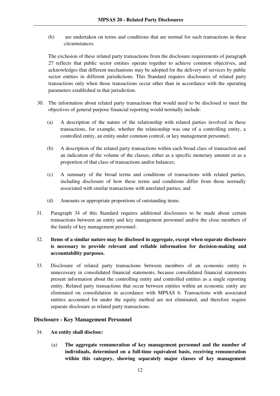(b) are undertaken on terms and conditions that are normal for such transactions in these circumstances.

The exclusion of these related party transactions from the disclosure requirements of paragraph 27 reflects that public sector entities operate together to achieve common objectives, and acknowledges that different mechanisms may be adopted for the delivery of services by public sector entities in different jurisdictions. This Standard requires disclosures of related party transactions only when those transactions occur other than in accordance with the operating parameters established in that jurisdiction.

- 30. The information about related party transactions that would need to be disclosed to meet the objectives of general purpose financial reporting would normally include:
	- (a) A description of the nature of the relationship with related parties involved in these transactions, for example, whether the relationship was one of a controlling entity, a controlled entity, an entity under common control, or key management personnel;
	- (b) A description of the related party transactions within each broad class of transaction and an indication of the volume of the classes, either as a specific monetary amount or as a proportion of that class of transactions and/or balances;
	- (c) A summary of the broad terms and conditions of transactions with related parties, including disclosure of how these terms and conditions differ from those normally associated with similar transactions with unrelated parties; and
	- (d) Amounts or appropriate proportions of outstanding items.
- 31. Paragraph 34 of this Standard requires additional disclosures to be made about certain transactions between an entity and key management personnel and/or the close members of the family of key management personnel.

#### 32. **Items of a similar nature may be disclosed in aggregate, except when separate disclosure is necessary to provide relevant and reliable information for decision-making and accountability purposes.**

33. Disclosure of related party transactions between members of an economic entity is unnecessary in consolidated financial statements, because consolidated financial statements present information about the controlling entity and controlled entities as a single reporting entity. Related party transactions that occur between entities within an economic entity are eliminated on consolidation in accordance with MPSAS 6. Transactions with associated entities accounted for under the equity method are not eliminated, and therefore require separate disclosure as related party transactions.

#### **Disclosure - Key Management Personnel**

- 34. **An entity shall disclose:** 
	- (a) **The aggregate remuneration of key management personnel and the number of individuals, determined on a full-time equivalent basis, receiving remuneration within this category, showing separately major classes of key management**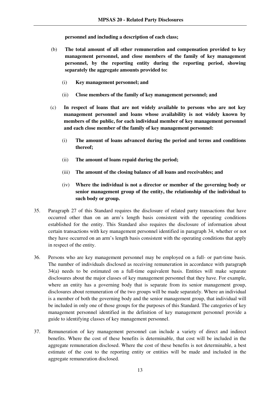**personnel and including a description of each class;** 

- (b) **The total amount of all other remuneration and compensation provided to key management personnel, and close members of the family of key management personnel, by the reporting entity during the reporting period, showing separately the aggregate amounts provided to:**
	- (i) **Key management personnel; and**
	- (ii) **Close members of the family of key management personnel; and**
- (c) **In respect of loans that are not widely available to persons who are not key management personnel and loans whose availability is not widely known by members of the public, for each individual member of key management personnel and each close member of the family of key management personnel:** 
	- (i) **The amount of loans advanced during the period and terms and conditions thereof;**
	- (ii) **The amount of loans repaid during the period;**
	- (iii) **The amount of the closing balance of all loans and receivables; and**
	- (iv) **Where the individual is not a director or member of the governing body or senior management group of the entity, the relationship of the individual to such body or group.**
- 35. Paragraph 27 of this Standard requires the disclosure of related party transactions that have occurred other than on an arm's length basis consistent with the operating conditions established for the entity. This Standard also requires the disclosure of information about certain transactions with key management personnel identified in paragraph 34, whether or not they have occurred on an arm's length basis consistent with the operating conditions that apply in respect of the entity.
- 36. Persons who are key management personnel may be employed on a full- or part-time basis. The number of individuals disclosed as receiving remuneration in accordance with paragraph 34(a) needs to be estimated on a full-time equivalent basis. Entities will make separate disclosures about the major classes of key management personnel that they have. For example, where an entity has a governing body that is separate from its senior management group, disclosures about remuneration of the two groups will be made separately. Where an individual is a member of both the governing body and the senior management group, that individual will be included in only one of those groups for the purposes of this Standard. The categories of key management personnel identified in the definition of key management personnel provide a guide to identifying classes of key management personnel.
- 37. Remuneration of key management personnel can include a variety of direct and indirect benefits. Where the cost of these benefits is determinable, that cost will be included in the aggregate remuneration disclosed. Where the cost of these benefits is not determinable, a best estimate of the cost to the reporting entity or entities will be made and included in the aggregate remuneration disclosed.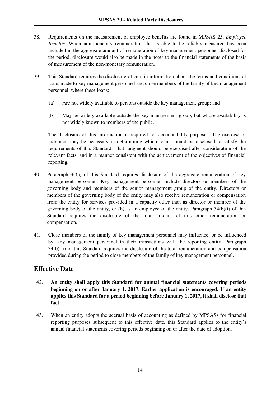- 38. Requirements on the measurement of employee benefits are found in MPSAS 25, *Employee Benefits*. When non-monetary remuneration that is able to be reliably measured has been included in the aggregate amount of remuneration of key management personnel disclosed for the period, disclosure would also be made in the notes to the financial statements of the basis of measurement of the non-monetary remuneration.
- 39. This Standard requires the disclosure of certain information about the terms and conditions of loans made to key management personnel and close members of the family of key management personnel, where these loans:
	- (a) Are not widely available to persons outside the key management group; and
	- (b) May be widely available outside the key management group, but whose availability is not widely known to members of the public.

The disclosure of this information is required for accountability purposes. The exercise of judgment may be necessary in determining which loans should be disclosed to satisfy the requirements of this Standard. That judgment should be exercised after consideration of the relevant facts, and in a manner consistent with the achievement of the objectives of financial reporting.

- 40. Paragraph 34(a) of this Standard requires disclosure of the aggregate remuneration of key management personnel. Key management personnel include directors or members of the governing body and members of the senior management group of the entity. Directors or members of the governing body of the entity may also receive remuneration or compensation from the entity for services provided in a capacity other than as director or member of the governing body of the entity, or (b) as an employee of the entity. Paragraph 34(b)(i) of this Standard requires the disclosure of the total amount of this other remuneration or compensation.
- 41. Close members of the family of key management personnel may influence, or be influenced by, key management personnel in their transactions with the reporting entity. Paragraph 34(b)(ii) of this Standard requires the disclosure of the total remuneration and compensation provided during the period to close members of the family of key management personnel.

# **Effective Date**

- 42. **An entity shall apply this Standard for annual financial statements covering periods beginning on or after January 1, 2017. Earlier application is encouraged. If an entity applies this Standard for a period beginning before January 1, 2017, it shall disclose that fact.**
- 43. When an entity adopts the accrual basis of accounting as defined by MPSASs for financial reporting purposes subsequent to this effective date, this Standard applies to the entity's annual financial statements covering periods beginning on or after the date of adoption.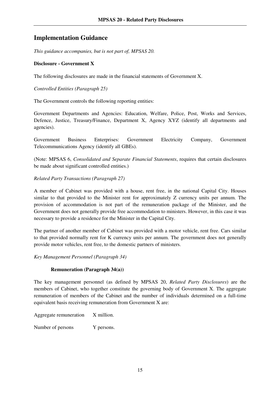# **Implementation Guidance**

*This guidance accompanies, but is not part of, MPSAS 20.*

#### **Disclosure - Government X**

The following disclosures are made in the financial statements of Government X.

*Controlled Entities (Paragraph 25)*

The Government controls the following reporting entities:

Government Departments and Agencies: Education, Welfare, Police, Post, Works and Services, Defence, Justice, Treasury/Finance, Department X, Agency XYZ (identify all departments and agencies).

Government Business Enterprises: Government Electricity Company, Government Telecommunications Agency (identify all GBEs).

(Note: MPSAS 6, *Consolidated and Separate Financial Statements*, requires that certain disclosures be made about significant controlled entities.)

#### *Related Party Transactions (Paragraph 27)*

A member of Cabinet was provided with a house, rent free, in the national Capital City. Houses similar to that provided to the Minister rent for approximately Z currency units per annum. The provision of accommodation is not part of the remuneration package of the Minister, and the Government does not generally provide free accommodation to ministers. However, in this case it was necessary to provide a residence for the Minister in the Capital City.

The partner of another member of Cabinet was provided with a motor vehicle, rent free. Cars similar to that provided normally rent for K currency units per annum. The government does not generally provide motor vehicles, rent free, to the domestic partners of ministers.

*Key Management Personnel (Paragraph 34)*

#### **Remuneration (Paragraph 34(a))**

The key management personnel (as defined by MPSAS 20, *Related Party Disclosures*) are the members of Cabinet, who together constitute the governing body of Government X. The aggregate remuneration of members of the Cabinet and the number of individuals determined on a full-time equivalent basis receiving remuneration from Government X are:

Aggregate remuneration X million.

Number of persons. Y persons.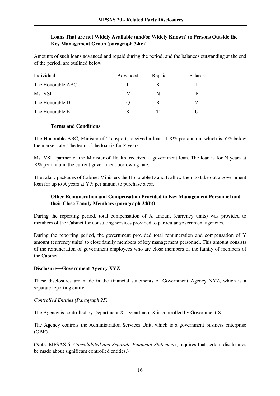#### **Loans That are not Widely Available (and/or Widely Known) to Persons Outside the Key Management Group (paragraph 34(c))**

Amounts of such loans advanced and repaid during the period, and the balances outstanding at the end of the period, are outlined below:

| Individual        | Advanced | <b>Repaid</b> | <b>Balance</b> |
|-------------------|----------|---------------|----------------|
| The Honorable ABC |          | K             |                |
| Ms. VSL           | M        | N             |                |
| The Honorable D   | 0        | R             | 7              |
| The Honorable E   | S        | т             |                |

#### **Terms and Conditions**

The Honorable ABC, Minister of Transport, received a loan at  $X\%$  per annum, which is  $Y\%$  below the market rate. The term of the loan is for Z years.

Ms. VSL, partner of the Minister of Health, received a government loan. The loan is for N years at X% per annum, the current government borrowing rate.

The salary packages of Cabinet Ministers the Honorable D and E allow them to take out a government loan for up to A years at Y% per annum to purchase a car.

#### **Other Remuneration and Compensation Provided to Key Management Personnel and their Close Family Members (paragraph 34(b))**

During the reporting period, total compensation of X amount (currency units) was provided to members of the Cabinet for consulting services provided to particular government agencies.

During the reporting period, the government provided total remuneration and compensation of Y amount (currency units) to close family members of key management personnel. This amount consists of the remuneration of government employees who are close members of the family of members of the Cabinet.

#### **Disclosure**―**Government Agency XYZ**

These disclosures are made in the financial statements of Government Agency XYZ, which is a separate reporting entity.

#### *Controlled Entities (Paragraph 25)*

The Agency is controlled by Department X. Department X is controlled by Government X.

The Agency controls the Administration Services Unit, which is a government business enterprise (GBE).

(Note: MPSAS 6, *Consolidated and Separate Financial Statements*, requires that certain disclosures be made about significant controlled entities.)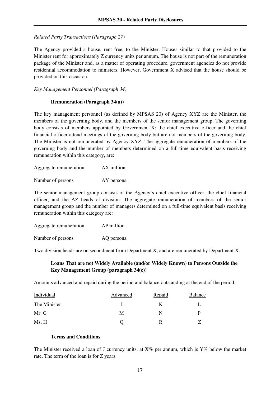*Related Party Transactions (Paragraph 27)*

The Agency provided a house, rent free, to the Minister. Houses similar to that provided to the Minister rent for approximately Z currency units per annum. The house is not part of the remuneration package of the Minister and, as a matter of operating procedure, government agencies do not provide residential accommodation to ministers. However, Government X advised that the house should be provided on this occasion.

*Key Management Personnel (Paragraph 34)*

#### **Remuneration (Paragraph 34(a))**

The key management personnel (as defined by MPSAS 20) of Agency XYZ are the Minister, the members of the governing body, and the members of the senior management group. The governing body consists of members appointed by Government X; the chief executive officer and the chief financial officer attend meetings of the governing body but are not members of the governing body. The Minister is not remunerated by Agency XYZ. The aggregate remuneration of members of the governing body and the number of members determined on a full-time equivalent basis receiving remuneration within this category, are:

| Aggregate remuneration | AX million. |
|------------------------|-------------|
|                        |             |

Number of persons AY persons.

The senior management group consists of the Agency's chief executive officer, the chief financial officer, and the AZ heads of division. The aggregate remuneration of members of the senior management group and the number of managers determined on a full-time equivalent basis receiving remuneration within this category are:

| Aggregate remuneration | AP million. |
|------------------------|-------------|
| Number of persons      | AQ persons. |

Two division heads are on secondment from Department X, and are remunerated by Department X.

#### **Loans That are not Widely Available (and/or Widely Known) to Persons Outside the Key Management Group (paragraph 34(c))**

Amounts advanced and repaid during the period and balance outstanding at the end of the period:

| Individual   | Advanced | <b>Repaid</b> | Balance |
|--------------|----------|---------------|---------|
| The Minister |          |               |         |
| Mr. G        | М        | N             |         |
| Ms. H        |          |               |         |

#### **Terms and Conditions**

The Minister received a loan of J currency units, at  $X\%$  per annum, which is  $Y\%$  below the market rate. The term of the loan is for Z years.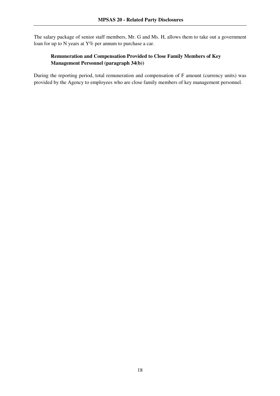The salary package of senior staff members, Mr. G and Ms. H, allows them to take out a government loan for up to N years at Y% per annum to purchase a car.

#### **Remuneration and Compensation Provided to Close Family Members of Key Management Personnel (paragraph 34(b))**

During the reporting period, total remuneration and compensation of F amount (currency units) was provided by the Agency to employees who are close family members of key management personnel.